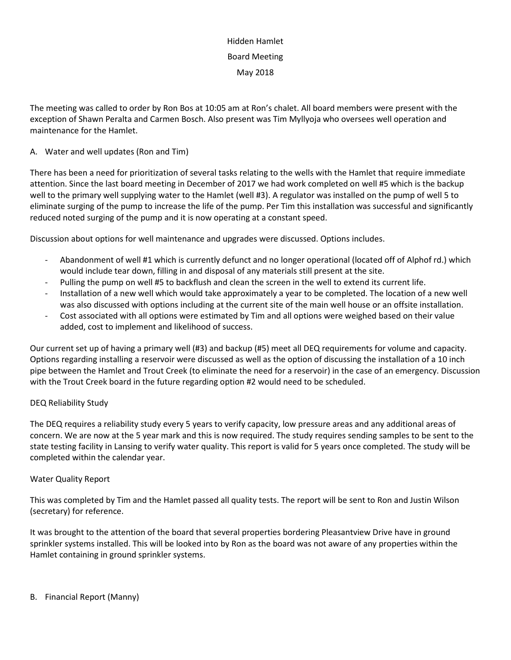# Hidden Hamlet Board Meeting May 2018

The meeting was called to order by Ron Bos at 10:05 am at Ron's chalet. All board members were present with the exception of Shawn Peralta and Carmen Bosch. Also present was Tim Myllyoja who oversees well operation and maintenance for the Hamlet.

## A. Water and well updates (Ron and Tim)

There has been a need for prioritization of several tasks relating to the wells with the Hamlet that require immediate attention. Since the last board meeting in December of 2017 we had work completed on well #5 which is the backup well to the primary well supplying water to the Hamlet (well #3). A regulator was installed on the pump of well 5 to eliminate surging of the pump to increase the life of the pump. Per Tim this installation was successful and significantly reduced noted surging of the pump and it is now operating at a constant speed.

Discussion about options for well maintenance and upgrades were discussed. Options includes.

- Abandonment of well #1 which is currently defunct and no longer operational (located off of Alphof rd.) which would include tear down, filling in and disposal of any materials still present at the site.
- Pulling the pump on well #5 to backflush and clean the screen in the well to extend its current life.
- Installation of a new well which would take approximately a year to be completed. The location of a new well was also discussed with options including at the current site of the main well house or an offsite installation.
- Cost associated with all options were estimated by Tim and all options were weighed based on their value added, cost to implement and likelihood of success.

Our current set up of having a primary well (#3) and backup (#5) meet all DEQ requirements for volume and capacity. Options regarding installing a reservoir were discussed as well as the option of discussing the installation of a 10 inch pipe between the Hamlet and Trout Creek (to eliminate the need for a reservoir) in the case of an emergency. Discussion with the Trout Creek board in the future regarding option #2 would need to be scheduled.

### DEQ Reliability Study

The DEQ requires a reliability study every 5 years to verify capacity, low pressure areas and any additional areas of concern. We are now at the 5 year mark and this is now required. The study requires sending samples to be sent to the state testing facility in Lansing to verify water quality. This report is valid for 5 years once completed. The study will be completed within the calendar year.

### Water Quality Report

This was completed by Tim and the Hamlet passed all quality tests. The report will be sent to Ron and Justin Wilson (secretary) for reference.

It was brought to the attention of the board that several properties bordering Pleasantview Drive have in ground sprinkler systems installed. This will be looked into by Ron as the board was not aware of any properties within the Hamlet containing in ground sprinkler systems.

#### B. Financial Report (Manny)